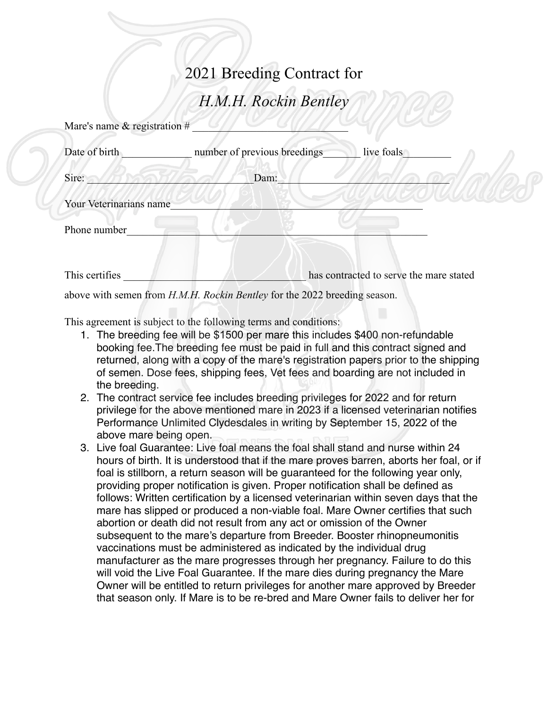## 2021 Breeding Contract for

## *H.M.H. Rockin Bentley*

| Mare's name $&$ registration $#$ |                                                                                  |                                         |
|----------------------------------|----------------------------------------------------------------------------------|-----------------------------------------|
| Date of birth                    | number of previous breedings                                                     | live foals                              |
| Sire:                            | Dam:                                                                             |                                         |
| Your Veterinarians name          |                                                                                  |                                         |
| Phone number                     |                                                                                  |                                         |
|                                  |                                                                                  |                                         |
| This certifies                   |                                                                                  | has contracted to serve the mare stated |
|                                  | above with semen from <i>H.M.H. Rockin Bentley</i> for the 2022 breeding season. |                                         |

This agreement is subject to the following terms and conditions:

- 1. The breeding fee will be \$1500 per mare this includes \$400 non-refundable booking fee.The breeding fee must be paid in full and this contract signed and returned, along with a copy of the mare's registration papers prior to the shipping of semen. Dose fees, shipping fees, Vet fees and boarding are not included in the breeding.
- 2. The contract service fee includes breeding privileges for 2022 and for return privilege for the above mentioned mare in 2023 if a licensed veterinarian notifies Performance Unlimited Clydesdales in writing by September 15, 2022 of the above mare being open.
- 3. Live foal Guarantee: Live foal means the foal shall stand and nurse within 24 hours of birth. It is understood that if the mare proves barren, aborts her foal, or if foal is stillborn, a return season will be guaranteed for the following year only, providing proper notification is given. Proper notification shall be defined as follows: Written certification by a licensed veterinarian within seven days that the mare has slipped or produced a non-viable foal. Mare Owner certifies that such abortion or death did not result from any act or omission of the Owner subsequent to the mare's departure from Breeder. Booster rhinopneumonitis vaccinations must be administered as indicated by the individual drug manufacturer as the mare progresses through her pregnancy. Failure to do this will void the Live Foal Guarantee. If the mare dies during pregnancy the Mare Owner will be entitled to return privileges for another mare approved by Breeder that season only. If Mare is to be re-bred and Mare Owner fails to deliver her for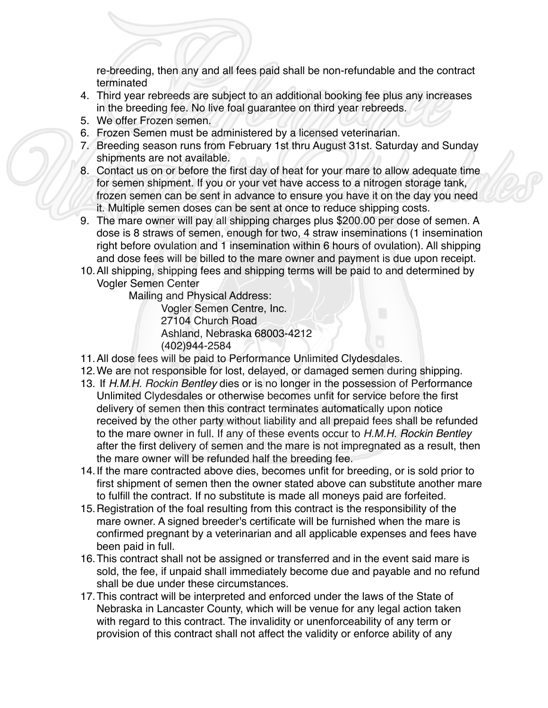re-breeding, then any and all fees paid shall be non-refundable and the contract terminated

- 4. Third year rebreeds are subject to an additional booking fee plus any increases in the breeding fee. No live foal guarantee on third year rebreeds.
- 5. We offer Frozen semen.
- 6. Frozen Semen must be administered by a licensed veterinarian.
- 7. Breeding season runs from February 1st thru August 31st. Saturday and Sunday shipments are not available.
- 8. Contact us on or before the first day of heat for your mare to allow adequate time for semen shipment. If you or your vet have access to a nitrogen storage tank, frozen semen can be sent in advance to ensure you have it on the day you need it. Multiple semen doses can be sent at once to reduce shipping costs.
- 9. The mare owner will pay all shipping charges plus \$200.00 per dose of semen. A dose is 8 straws of semen, enough for two, 4 straw inseminations (1 insemination right before ovulation and 1 insemination within 6 hours of ovulation). All shipping and dose fees will be billed to the mare owner and payment is due upon receipt.
- 10.All shipping, shipping fees and shipping terms will be paid to and determined by Vogler Semen Center

Mailing and Physical Address:

Vogler Semen Centre, Inc. 27104 Church Road Ashland, Nebraska 68003-4212 (402)944-2584

- 11.All dose fees will be paid to Performance Unlimited Clydesdales.
- 12.We are not responsible for lost, delayed, or damaged semen during shipping.
- 13. If *H.M.H. Rockin Bentley* dies or is no longer in the possession of Performance Unlimited Clydesdales or otherwise becomes unfit for service before the first delivery of semen then this contract terminates automatically upon notice received by the other party without liability and all prepaid fees shall be refunded to the mare owner in full. If any of these events occur to *H.M.H. Rockin Bentley*  after the first delivery of semen and the mare is not impregnated as a result, then the mare owner will be refunded half the breeding fee.
- 14.If the mare contracted above dies, becomes unfit for breeding, or is sold prior to first shipment of semen then the owner stated above can substitute another mare to fulfill the contract. If no substitute is made all moneys paid are forfeited.
- 15.Registration of the foal resulting from this contract is the responsibility of the mare owner. A signed breeder's certificate will be furnished when the mare is confirmed pregnant by a veterinarian and all applicable expenses and fees have been paid in full.
- 16.This contract shall not be assigned or transferred and in the event said mare is sold, the fee, if unpaid shall immediately become due and payable and no refund shall be due under these circumstances.
- 17.This contract will be interpreted and enforced under the laws of the State of Nebraska in Lancaster County, which will be venue for any legal action taken with regard to this contract. The invalidity or unenforceability of any term or provision of this contract shall not affect the validity or enforce ability of any